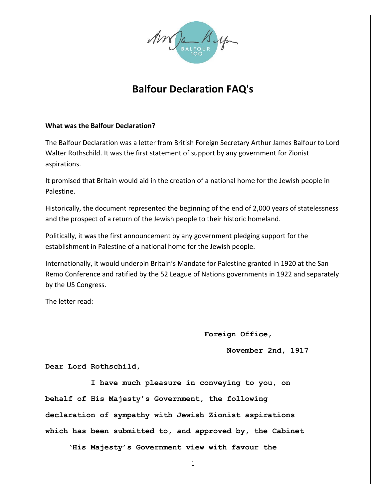

# **Balfour Declaration FAQ's**

## **What was the Balfour Declaration?**

The Balfour Declaration was a letter from British Foreign Secretary Arthur James Balfour to Lord Walter Rothschild. It was the first statement of support by any government for Zionist aspirations.

It promised that Britain would aid in the creation of a national home for the Jewish people in Palestine.

Historically, the document represented the beginning of the end of 2,000 years of statelessness and the prospect of a return of the Jewish people to their historic homeland.

Politically, it was the first announcement by any government pledging support for the establishment in Palestine of a national home for the Jewish people.

Internationally, it would underpin Britain's Mandate for Palestine granted in 1920 at the San Remo Conference and ratified by the 52 League of Nations governments in 1922 and separately by the US Congress.

The letter read:

**Foreign Office,**

 **November 2nd, 1917**

**Dear Lord Rothschild,**

 **I have much pleasure in conveying to you, on behalf of His Majesty's Government, the following declaration of sympathy with Jewish Zionist aspirations which has been submitted to, and approved by, the Cabinet**

 **'His Majesty's Government view with favour the**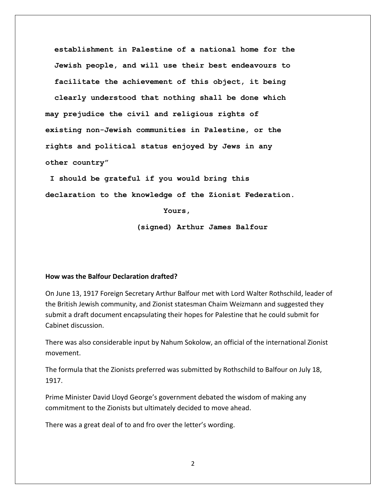**establishment in Palestine of a national home for the Jewish people, and will use their best endeavours to facilitate the achievement of this object, it being clearly understood that nothing shall be done which may prejudice the civil and religious rights of existing non-Jewish communities in Palestine, or the rights and political status enjoyed by Jews in any other country"**

**I should be grateful if you would bring this declaration to the knowledge of the Zionist Federation.**

**Yours,**

**(signed) Arthur James Balfour**

### **How was the Balfour Declaration drafted?**

On June 13, 1917 Foreign Secretary Arthur Balfour met with Lord Walter Rothschild, leader of the British Jewish community, and Zionist statesman Chaim Weizmann and suggested they submit a draft document encapsulating their hopes for Palestine that he could submit for Cabinet discussion.

There was also considerable input by Nahum Sokolow, an official of the international Zionist movement.

The formula that the Zionists preferred was submitted by Rothschild to Balfour on July 18, 1917.

Prime Minister David Lloyd George's government debated the wisdom of making any commitment to the Zionists but ultimately decided to move ahead.

There was a great deal of to and fro over the letter's wording.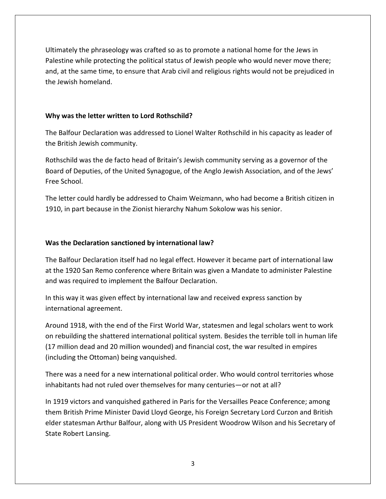Ultimately the phraseology was crafted so as to promote a national home for the Jews in Palestine while protecting the political status of Jewish people who would never move there; and, at the same time, to ensure that Arab civil and religious rights would not be prejudiced in the Jewish homeland.

# **Why was the letter written to Lord Rothschild?**

The Balfour Declaration was addressed to Lionel Walter Rothschild in his capacity as leader of the British Jewish community.

Rothschild was the de facto head of Britain's Jewish community serving as a governor of the Board of Deputies, of the United Synagogue, of the Anglo Jewish Association, and of the Jews' Free School.

The letter could hardly be addressed to Chaim Weizmann, who had become a British citizen in 1910, in part because in the Zionist hierarchy Nahum Sokolow was his senior.

# **Was the Declaration sanctioned by international law?**

The Balfour Declaration itself had no legal effect. However it became part of international law at the 1920 San Remo conference where Britain was given a Mandate to administer Palestine and was required to implement the Balfour Declaration.

In this way it was given effect by international law and received express sanction by international agreement.

Around 1918, with the end of the First World War, statesmen and legal scholars went to work on rebuilding the shattered international political system. Besides the terrible toll in human life (17 million dead and 20 million wounded) and financial cost, the war resulted in empires (including the Ottoman) being vanquished.

There was a need for a new international political order. Who would control territories whose inhabitants had not ruled over themselves for many centuries—or not at all?

In 1919 victors and vanquished gathered in Paris for the Versailles Peace Conference; among them British Prime Minister David Lloyd George, his Foreign Secretary Lord Curzon and British elder statesman Arthur Balfour, along with US President Woodrow Wilson and his Secretary of State Robert Lansing.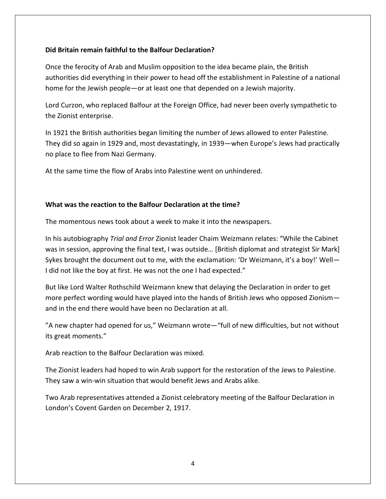## **Did Britain remain faithful to the Balfour Declaration?**

Once the ferocity of Arab and Muslim opposition to the idea became plain, the British authorities did everything in their power to head off the establishment in Palestine of a national home for the Jewish people—or at least one that depended on a Jewish majority.

Lord Curzon, who replaced Balfour at the Foreign Office, had never been overly sympathetic to the Zionist enterprise.

In 1921 the British authorities began limiting the number of Jews allowed to enter Palestine. They did so again in 1929 and, most devastatingly, in 1939—when Europe's Jews had practically no place to flee from Nazi Germany.

At the same time the flow of Arabs into Palestine went on unhindered.

# **What was the reaction to the Balfour Declaration at the time?**

The momentous news took about a week to make it into the newspapers.

In his autobiography *Trial and Error* Zionist leader Chaim Weizmann relates: "While the Cabinet was in session, approving the final text, I was outside… [British diplomat and strategist Sir Mark] Sykes brought the document out to me, with the exclamation: 'Dr Weizmann, it's a boy!' Well— I did not like the boy at first. He was not the one I had expected."

But like Lord Walter Rothschild Weizmann knew that delaying the Declaration in order to get more perfect wording would have played into the hands of British Jews who opposed Zionism and in the end there would have been no Declaration at all.

"A new chapter had opened for us," Weizmann wrote—"full of new difficulties, but not without its great moments."

Arab reaction to the Balfour Declaration was mixed.

The Zionist leaders had hoped to win Arab support for the restoration of the Jews to Palestine. They saw a win-win situation that would benefit Jews and Arabs alike.

Two Arab representatives attended a Zionist celebratory meeting of the Balfour Declaration in London's Covent Garden on December 2, 1917.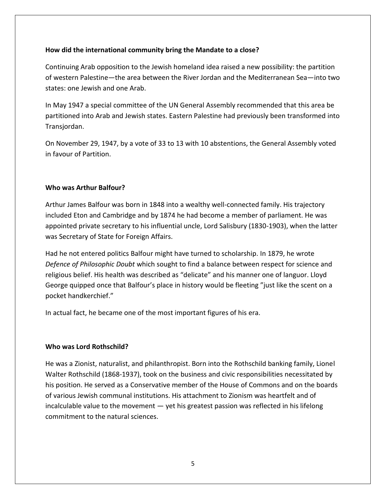# **How did the international community bring the Mandate to a close?**

Continuing Arab opposition to the Jewish homeland idea raised a new possibility: the partition of western Palestine—the area between the River Jordan and the Mediterranean Sea—into two states: one Jewish and one Arab.

In May 1947 a special committee of the UN General Assembly recommended that this area be partitioned into Arab and Jewish states. Eastern Palestine had previously been transformed into Transjordan.

On November 29, 1947, by a vote of 33 to 13 with 10 abstentions, the General Assembly voted in favour of Partition.

# **Who was Arthur Balfour?**

Arthur James Balfour was born in 1848 into a wealthy well-connected family. His trajectory included Eton and Cambridge and by 1874 he had become a member of parliament. He was appointed private secretary to his influential uncle, Lord Salisbury (1830-1903), when the latter was Secretary of State for Foreign Affairs.

Had he not entered politics Balfour might have turned to scholarship. In 1879, he wrote *Defence of Philosophic Doubt* which sought to find a balance between respect for science and religious belief. His health was described as "delicate" and his manner one of languor. Lloyd George quipped once that Balfour's place in history would be fleeting "just like the scent on a pocket handkerchief."

In actual fact, he became one of the most important figures of his era.

## **Who was Lord Rothschild?**

He was a Zionist, naturalist, and philanthropist. Born into the Rothschild banking family, Lionel Walter Rothschild (1868-1937), took on the business and civic responsibilities necessitated by his position. He served as a Conservative member of the House of Commons and on the boards of various Jewish communal institutions. His attachment to Zionism was heartfelt and of incalculable value to the movement — yet his greatest passion was reflected in his lifelong commitment to the natural sciences.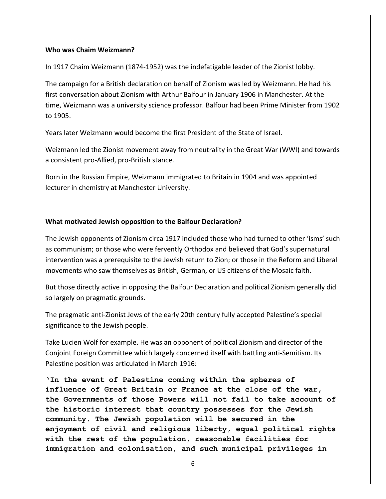### **Who was Chaim Weizmann?**

In 1917 Chaim Weizmann (1874-1952) was the indefatigable leader of the Zionist lobby.

The campaign for a British declaration on behalf of Zionism was led by Weizmann. He had his first conversation about Zionism with Arthur Balfour in January 1906 in Manchester. At the time, Weizmann was a university science professor. Balfour had been Prime Minister from 1902 to 1905.

Years later Weizmann would become the first President of the State of Israel.

Weizmann led the Zionist movement away from neutrality in the Great War (WWI) and towards a consistent pro-Allied, pro-British stance.

Born in the Russian Empire, Weizmann immigrated to Britain in 1904 and was appointed lecturer in chemistry at Manchester University.

### **What motivated Jewish opposition to the Balfour Declaration?**

The Jewish opponents of Zionism circa 1917 included those who had turned to other 'isms' such as communism; or those who were fervently Orthodox and believed that God's supernatural intervention was a prerequisite to the Jewish return to Zion; or those in the Reform and Liberal movements who saw themselves as British, German, or US citizens of the Mosaic faith.

But those directly active in opposing the Balfour Declaration and political Zionism generally did so largely on pragmatic grounds.

The pragmatic anti-Zionist Jews of the early 20th century fully accepted Palestine's special significance to the Jewish people.

Take Lucien Wolf for example. He was an opponent of political Zionism and director of the Conjoint Foreign Committee which largely concerned itself with battling anti-Semitism. Its Palestine position was articulated in March 1916:

**'In the event of Palestine coming within the spheres of influence of Great Britain or France at the close of the war, the Governments of those Powers will not fail to take account of the historic interest that country possesses for the Jewish community. The Jewish population will be secured in the enjoyment of civil and religious liberty, equal political rights with the rest of the population, reasonable facilities for immigration and colonisation, and such municipal privileges in**